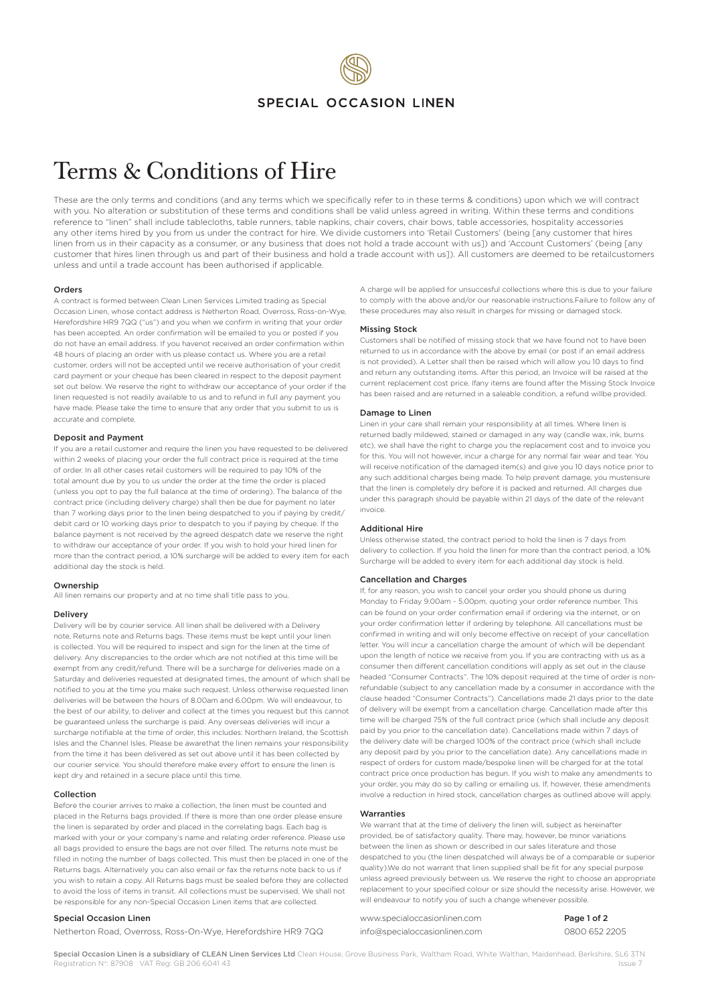## SPECIAL OCCASION LINEN

# Terms & Conditions of Hire

These are the only terms and conditions (and any terms which we specifically refer to in these terms & conditions) upon which we will contract with you. No alteration or substitution of these terms and conditions shall be valid unless agreed in writing. Within these terms and conditions reference to "linen" shall include tablecloths, table runners, table napkins, chair covers, chair bows, table accessories, hospitality accessories any other items hired by you from us under the contract for hire. We divide customers into 'Retail Customers' (being [any customer that hires linen from us in their capacity as a consumer, or any business that does not hold a trade account with us]) and 'Account Customers' (being [any customer that hires linen through us and part of their business and hold a trade account with us]). All customers are deemed to be retailcustomers unless and until a trade account has been authorised if applicable.

#### Orders

A contract is formed between Clean Linen Services Limited trading as Special Occasion Linen, whose contact address is Netherton Road, Overross, Ross-on-Wye, Herefordshire HR9 7QQ ("us") and you when we confirm in writing that your order has been accepted. An order confirmation will be emailed to you or posted if you do not have an email address. If you havenot received an order confirmation within 48 hours of placing an order with us please contact us. Where you are a retail customer, orders will not be accepted until we receive authorisation of your credit card payment or your cheque has been cleared in respect to the deposit payment set out below. We reserve the right to withdraw our acceptance of your order if the linen requested is not readily available to us and to refund in full any payment you have made. Please take the time to ensure that any order that you submit to us is accurate and complete.

#### Deposit and Payment

If you are a retail customer and require the linen you have requested to be delivered within 2 weeks of placing your order the full contract price is required at the time of order. In all other cases retail customers will be required to pay 10% of the total amount due by you to us under the order at the time the order is placed (unless you opt to pay the full balance at the time of ordering). The balance of the contract price (including delivery charge) shall then be due for payment no later than 7 working days prior to the linen being despatched to you if paying by credit/ debit card or 10 working days prior to despatch to you if paying by cheque. If the balance payment is not received by the agreed despatch date we reserve the right to withdraw our acceptance of your order. If you wish to hold your hired linen for more than the contract period, a 10% surcharge will be added to every item for each additional day the stock is held.

### Ownership

All linen remains our property and at no time shall title pass to you.

#### Delivery

Delivery will be by courier service. All linen shall be delivered with a Delivery note, Returns note and Returns bags. These items must be kept until your linen is collected. You will be required to inspect and sign for the linen at the time of delivery. Any discrepancies to the order which are not notified at this time will be exempt from any credit/refund. There will be a surcharge for deliveries made on a Saturday and deliveries requested at designated times, the amount of which shall be notified to you at the time you make such request. Unless otherwise requested linen deliveries will be between the hours of 8.00am and 6.00pm. We will endeavour, to the best of our ability, to deliver and collect at the times you request but this cannot be guaranteed unless the surcharge is paid. Any overseas deliveries will incur a surcharge notifiable at the time of order, this includes: Northern Ireland, the Scottish Isles and the Channel Isles. Please be awarethat the linen remains your responsibility from the time it has been delivered as set out above until it has been collected by our courier service. You should therefore make every effort to ensure the linen is kept dry and retained in a secure place until this time.

#### Collection

Before the courier arrives to make a collection, the linen must be counted and placed in the Returns bags provided. If there is more than one order please ensure the linen is separated by order and placed in the correlating bags. Each bag is marked with your or your company's name and relating order reference. Please use all bags provided to ensure the bags are not over filled. The returns note must be filled in noting the number of bags collected. This must then be placed in one of the Returns bags. Alternatively you can also email or fax the returns note back to us if you wish to retain a copy. All Returns bags must be sealed before they are collected to avoid the loss of items in transit. All collections must be supervised. We shall not be responsible for any non-Special Occasion Linen items that are collected.

#### Special Occasion Linen

Netherton Road, Overross, Ross-On-Wye, Herefordshire HR9 7QQ

A charge will be applied for unsuccesful collections where this is due to your failure to comply with the above and/or our reasonable instructions.Failure to follow any of these procedures may also result in charges for missing or damaged stock.

#### Missing Stock

Customers shall be notified of missing stock that we have found not to have been returned to us in accordance with the above by email (or post if an email address is not provided). A Letter shall then be raised which will allow you 10 days to find and return any outstanding items. After this period, an Invoice will be raised at the current replacement cost price. Ifany items are found after the Missing Stock Invoice has been raised and are returned in a saleable condition, a refund willbe provided.

#### Damage to Linen

Linen in your care shall remain your responsibility at all times. Where linen is returned badly mildewed, stained or damaged in any way (candle wax, ink, burns etc), we shall have the right to charge you the replacement cost and to invoice you for this. You will not however, incur a charge for any normal fair wear and tear. You will receive notification of the damaged item(s) and give you 10 days notice prior to any such additional charges being made. To help prevent damage, you mustensure that the linen is completely dry before it is packed and returned. All charges due under this paragraph should be payable within 21 days of the date of the relevant invoice.

#### Additional Hire

Unless otherwise stated, the contract period to hold the linen is 7 days from delivery to collection. If you hold the linen for more than the contract period, a 10% Surcharge will be added to every item for each additional day stock is held.

#### Cancellation and Charges

If, for any reason, you wish to cancel your order you should phone us during Monday to Friday 9.00am - 5.00pm, quoting your order reference number. This can be found on your order confirmation email if ordering via the internet, or on your order confirmation letter if ordering by telephone. All cancellations must be confirmed in writing and will only become effective on receipt of your cancellation letter. You will incur a cancellation charge the amount of which will be dependant upon the length of notice we receive from you. If you are contracting with us as a consumer then different cancellation conditions will apply as set out in the clause headed "Consumer Contracts". The 10% deposit required at the time of order is nonrefundable (subject to any cancellation made by a consumer in accordance with the clause headed "Consumer Contracts"). Cancellations made 21 days prior to the date of delivery will be exempt from a cancellation charge. Cancellation made after this time will be charged 75% of the full contract price (which shall include any deposit paid by you prior to the cancellation date). Cancellations made within 7 days of the delivery date will be charged 100% of the contract price (which shall include any deposit paid by you prior to the cancellation date). Any cancellations made in respect of orders for custom made/bespoke linen will be charged for at the total contract price once production has begun. If you wish to make any amendments to your order, you may do so by calling or emailing us. If, however, these amendments involve a reduction in hired stock, cancellation charges as outlined above will apply.

#### Warranties

We warrant that at the time of delivery the linen will, subject as hereinafter provided, be of satisfactory quality. There may, however, be minor variations between the linen as shown or described in our sales literature and those despatched to you (the linen despatched will always be of a comparable or superior quality).We do not warrant that linen supplied shall be fit for any special purpose unless agreed previously between us. We reserve the right to choose an appropriate replacement to your specified colour or size should the necessity arise. However, we will endeavour to notify you of such a change whenever possible.

www.specialoccasionlinen.com info@specialoccasionlinen.com Page 1 of 2 0800 652 2205

Special Occasion Linen is a subsidiary of CLEAN Linen Services Ltd Clean House, Grove Business Park, Waltham Road, White Walthan, Maidenhead, Berkshire, SL6 3TN egistration N°: 87908 VAT Reg: GB 206 6041 43 Issue 7